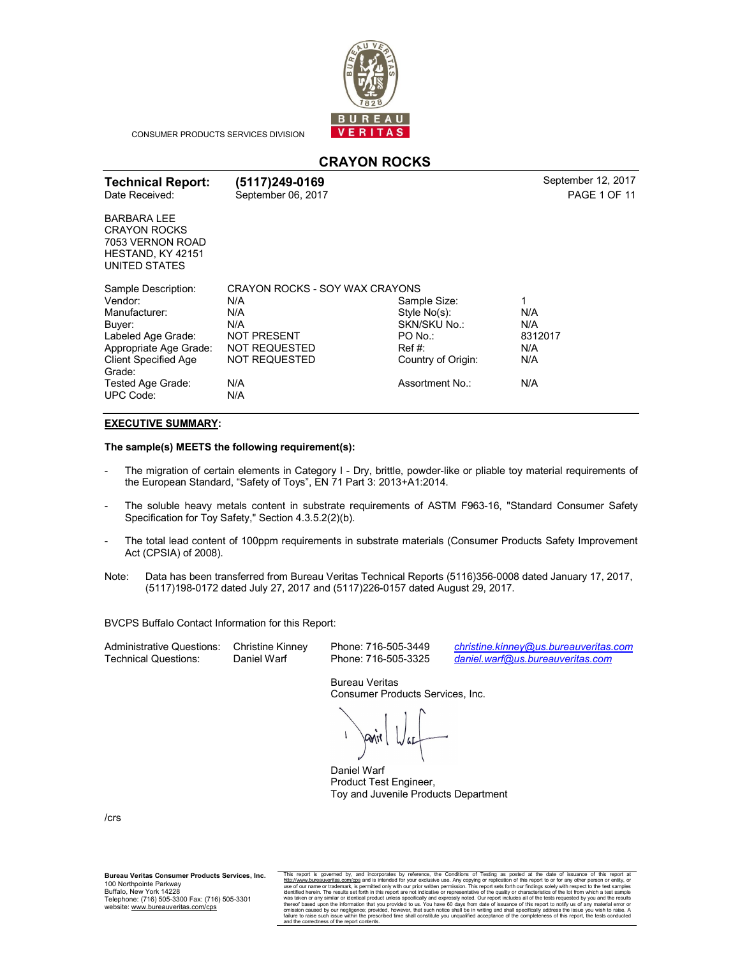

CONSUMER PRODUCTS SERVICES DIVISION

# **CRAYON ROCKS**

| <b>Technical Report:</b><br>Date Received:                                                          | (5117)249-0169<br>September 06, 2017 |                    | September 12, 2017<br><b>PAGE 1 OF 11</b> |  |  |
|-----------------------------------------------------------------------------------------------------|--------------------------------------|--------------------|-------------------------------------------|--|--|
| <b>BARBARA LEE</b><br><b>CRAYON ROCKS</b><br>7053 VERNON ROAD<br>HESTAND, KY 42151<br>UNITED STATES |                                      |                    |                                           |  |  |
| Sample Description:                                                                                 | CRAYON ROCKS - SOY WAX CRAYONS       |                    |                                           |  |  |
| Vendor:                                                                                             | N/A                                  | Sample Size:       | 1                                         |  |  |
| Manufacturer:                                                                                       | N/A                                  | Style No(s):       | N/A                                       |  |  |
| Buyer:                                                                                              | N/A                                  | SKN/SKU No.:       | N/A                                       |  |  |
| Labeled Age Grade:                                                                                  | <b>NOT PRESENT</b>                   | PO No.:            | 8312017                                   |  |  |
| Appropriate Age Grade:                                                                              | NOT REQUESTED                        | Ref#               | N/A                                       |  |  |
| <b>Client Specified Age</b><br>Grade:                                                               | <b>NOT REQUESTED</b>                 | Country of Origin: | N/A                                       |  |  |
| Tested Age Grade:<br><b>UPC Code:</b>                                                               | N/A<br>N/A                           | Assortment No.:    | N/A                                       |  |  |

### **EXECUTIVE SUMMARY:**

**The sample(s) MEETS the following requirement(s):** 

- The migration of certain elements in Category I Dry, brittle, powder-like or pliable toy material requirements of the European Standard, "Safety of Toys", EN 71 Part 3: 2013+A1:2014.
- The soluble heavy metals content in substrate requirements of ASTM F963-16, "Standard Consumer Safety Specification for Toy Safety," Section 4.3.5.2(2)(b).
- The total lead content of 100ppm requirements in substrate materials (Consumer Products Safety Improvement Act (CPSIA) of 2008).
- Note: Data has been transferred from Bureau Veritas Technical Reports (5116)356-0008 dated January 17, 2017, (5117)198-0172 dated July 27, 2017 and (5117)226-0157 dated August 29, 2017.

BVCPS Buffalo Contact Information for this Report:

| <b>Administrative Questions:</b> | <b>Christin</b> |
|----------------------------------|-----------------|
| Technical Questions:             | Daniel V        |

e Kinney Phone: 716-505-3449 <u>[christine.kinney@us.bureauveritas.com](mailto:christine.kinney@us.bureauveritas.com)</u><br>Warf Phone: 716-505-3325 *daniel.warf@us.bureauveritas.com* [daniel.warf@us.bureauveritas.com](mailto:daniel.warf@us.bureauveritas.com)

> Bureau Veritas Consumer Products Services, Inc.

Daniel Warf Product Test Engineer, Toy and Juvenile Products Department

/crs

**Bureau Veritas Consumer Products Services, Inc.** 100 Northpointe Parkway Buffalo, New York 14228 Telephone: (716) 505-3300 Fax: (716) 505-3301 website: [www.bureauveritas.com/cps](http://www.bureauveritas.com/cps)

This report is governed by, and incorporates by reference, the Conditions of Testing as posted at the date of issuance of this report at the Conditions of Testing as posted at the date of issuance of this report as com/cps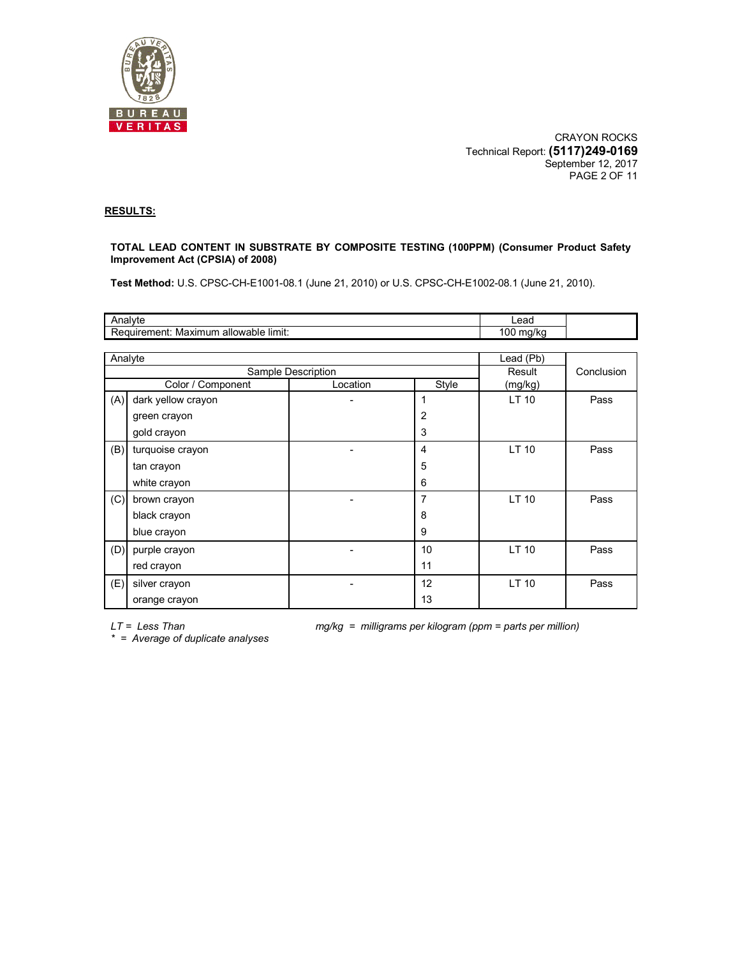

CRAYON ROCKS Technical Report: **(5117)249-0169** September 12, 2017 PAGE 2 OF 11

#### **RESULTS:**

#### **TOTAL LEAD CONTENT IN SUBSTRATE BY COMPOSITE TESTING (100PPM) (Consumer Product Safety Improvement Act (CPSIA) of 2008)**

**Test Method:** U.S. CPSC-CH-E1001-08.1 (June 21, 2010) or U.S. CPSC-CH-E1002-08.1 (June 21, 2010).

| Analyte |                                       | Lead               |                 |           |            |  |  |  |  |  |  |
|---------|---------------------------------------|--------------------|-----------------|-----------|------------|--|--|--|--|--|--|
|         | Requirement: Maximum allowable limit: |                    |                 | 100 mg/kg |            |  |  |  |  |  |  |
|         |                                       |                    |                 |           |            |  |  |  |  |  |  |
| Analyte |                                       | Lead (Pb)          |                 |           |            |  |  |  |  |  |  |
|         |                                       | Sample Description |                 | Result    | Conclusion |  |  |  |  |  |  |
|         | Color / Component                     | Location           | Style           | (mg/kg)   |            |  |  |  |  |  |  |
| (A)     | dark yellow crayon                    |                    | 1               | LT 10     | Pass       |  |  |  |  |  |  |
|         | green crayon                          |                    | 2               |           |            |  |  |  |  |  |  |
|         | gold crayon                           |                    | 3               |           |            |  |  |  |  |  |  |
| (B)     | turquoise crayon                      |                    | 4               | LT 10     | Pass       |  |  |  |  |  |  |
|         | tan crayon                            |                    | 5               |           |            |  |  |  |  |  |  |
|         | white crayon                          |                    | 6               |           |            |  |  |  |  |  |  |
| (C)     | brown crayon                          |                    | 7               | LT 10     | Pass       |  |  |  |  |  |  |
|         | black crayon                          |                    | 8               |           |            |  |  |  |  |  |  |
|         | blue crayon                           |                    | 9               |           |            |  |  |  |  |  |  |
| (D)     | purple crayon                         |                    | 10              | LT 10     | Pass       |  |  |  |  |  |  |
|         | red crayon                            |                    | 11              |           |            |  |  |  |  |  |  |
| (E)     | silver crayon                         |                    | 12 <sup>2</sup> | LT 10     | Pass       |  |  |  |  |  |  |
|         | orange crayon                         |                    | 13              |           |            |  |  |  |  |  |  |

*LT = Less Than mg/kg = milligrams per kilogram (ppm = parts per million)* 

*\* = Average of duplicate analyses*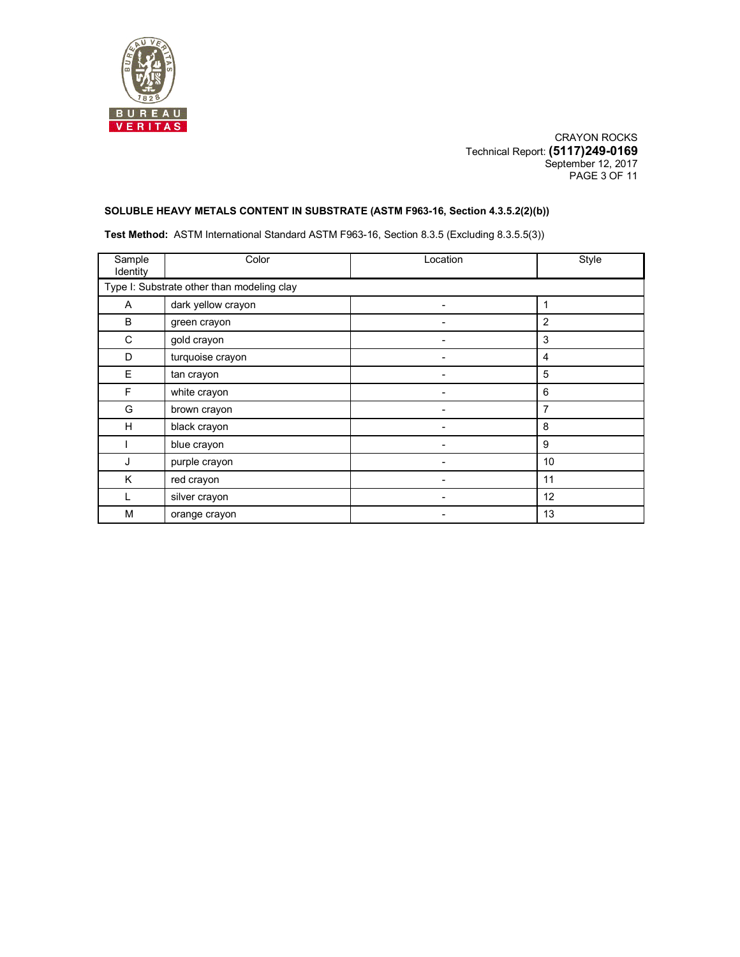

CRAYON ROCKS Technical Report: **(5117)249-0169** September 12, 2017 PAGE 3 OF 11

### **SOLUBLE HEAVY METALS CONTENT IN SUBSTRATE (ASTM F963-16, Section 4.3.5.2(2)(b))**

**Test Method:** ASTM International Standard ASTM F963-16, Section 8.3.5 (Excluding 8.3.5.5(3))

| Sample<br>Identity                         | Color              | Location | Style |  |  |  |  |
|--------------------------------------------|--------------------|----------|-------|--|--|--|--|
| Type I: Substrate other than modeling clay |                    |          |       |  |  |  |  |
| A                                          | dark yellow crayon |          | 1     |  |  |  |  |
| В                                          | green crayon       |          | 2     |  |  |  |  |
| C                                          | gold crayon        |          | 3     |  |  |  |  |
| D                                          | turquoise crayon   |          | 4     |  |  |  |  |
| E                                          | tan crayon         |          | 5     |  |  |  |  |
| F                                          | white crayon       |          | 6     |  |  |  |  |
| G                                          | brown crayon       |          | 7     |  |  |  |  |
| H                                          | black crayon       |          | 8     |  |  |  |  |
|                                            | blue crayon        |          | 9     |  |  |  |  |
| J                                          | purple crayon      |          | 10    |  |  |  |  |
| K                                          | red crayon         |          | 11    |  |  |  |  |
|                                            | silver crayon      |          | 12    |  |  |  |  |
| M                                          | orange crayon      |          | 13    |  |  |  |  |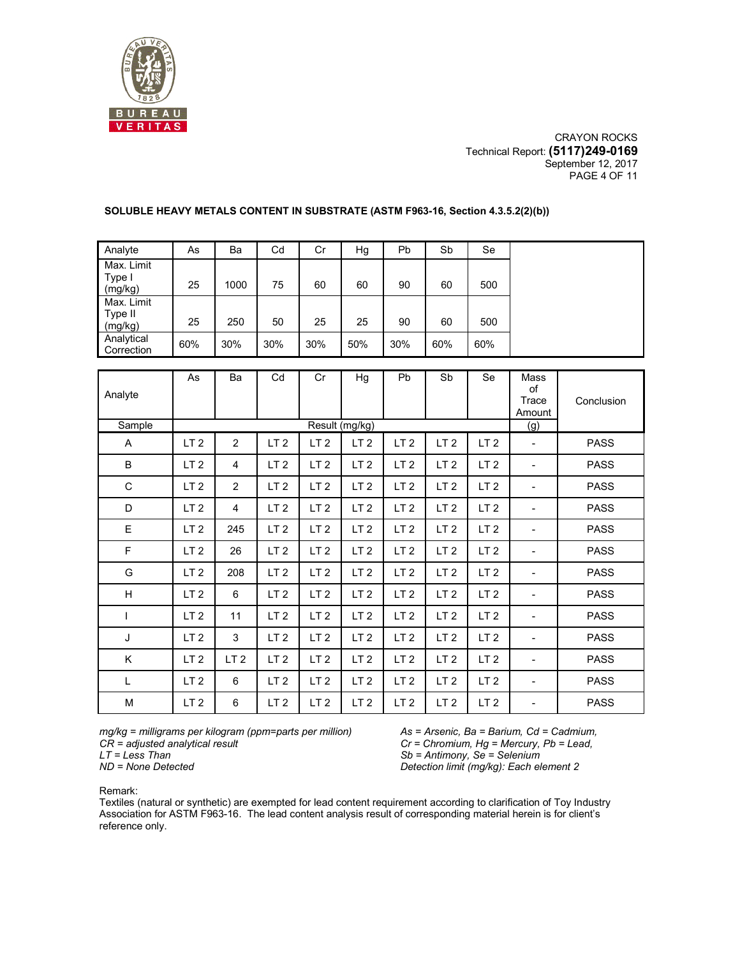

CRAYON ROCKS Technical Report: **(5117)249-0169** September 12, 2017 PAGE 4 OF 11

| Analyte                          | As  | Ba   | Cd  | Cr  | Hg  | Pb  | Sb  | Se  |
|----------------------------------|-----|------|-----|-----|-----|-----|-----|-----|
| Max. Limit<br>Type I<br>(mg/kg)  | 25  | 1000 | 75  | 60  | 60  | 90  | 60  | 500 |
| Max. Limit<br>Type II<br>(mg/kg) | 25  | 250  | 50  | 25  | 25  | 90  | 60  | 500 |
| Analytical<br>Correction         | 60% | 30%  | 30% | 30% | 50% | 30% | 60% | 60% |

#### **SOLUBLE HEAVY METALS CONTENT IN SUBSTRATE (ASTM F963-16, Section 4.3.5.2(2)(b))**

| Analyte<br>Sample | As              | Ba              | Cd              | Cr              | Hg<br>Result (mg/kg) | Pb              | Sb              | Se              | Mass<br>of<br>Trace<br>Amount<br>(g) | Conclusion  |
|-------------------|-----------------|-----------------|-----------------|-----------------|----------------------|-----------------|-----------------|-----------------|--------------------------------------|-------------|
| Α                 | LT <sub>2</sub> | 2               | LT <sub>2</sub> | LT <sub>2</sub> | LT <sub>2</sub>      | LT <sub>2</sub> | LT <sub>2</sub> | LT <sub>2</sub> | $\qquad \qquad \blacksquare$         | <b>PASS</b> |
| B                 | LT <sub>2</sub> | 4               | LT <sub>2</sub> | LT <sub>2</sub> | LT <sub>2</sub>      | LT <sub>2</sub> | LT <sub>2</sub> | LT <sub>2</sub> | ٠                                    | <b>PASS</b> |
| C                 | LT <sub>2</sub> | 2               | LT <sub>2</sub> | LT <sub>2</sub> | LT <sub>2</sub>      | LT <sub>2</sub> | LT <sub>2</sub> | LT <sub>2</sub> |                                      | <b>PASS</b> |
| D                 | LT <sub>2</sub> | 4               | LT <sub>2</sub> | LT <sub>2</sub> | LT <sub>2</sub>      | LT <sub>2</sub> | LT <sub>2</sub> | LT <sub>2</sub> | $\overline{\phantom{0}}$             | <b>PASS</b> |
| Ε                 | LT <sub>2</sub> | 245             | LT <sub>2</sub> | LT <sub>2</sub> | LT <sub>2</sub>      | LT <sub>2</sub> | LT <sub>2</sub> | LT <sub>2</sub> | $\overline{\phantom{a}}$             | <b>PASS</b> |
| F                 | LT <sub>2</sub> | 26              | LT <sub>2</sub> | LT <sub>2</sub> | LT <sub>2</sub>      | LT <sub>2</sub> | LT <sub>2</sub> | LT <sub>2</sub> |                                      | <b>PASS</b> |
| G                 | LT <sub>2</sub> | 208             | LT <sub>2</sub> | LT <sub>2</sub> | LT <sub>2</sub>      | LT <sub>2</sub> | LT <sub>2</sub> | LT <sub>2</sub> | $\overline{\phantom{0}}$             | <b>PASS</b> |
| H                 | LT <sub>2</sub> | 6               | LT <sub>2</sub> | LT <sub>2</sub> | LT <sub>2</sub>      | LT <sub>2</sub> | LT <sub>2</sub> | LT <sub>2</sub> | $\overline{\phantom{0}}$             | <b>PASS</b> |
| I                 | LT <sub>2</sub> | 11              | LT <sub>2</sub> | LT <sub>2</sub> | LT <sub>2</sub>      | LT <sub>2</sub> | LT <sub>2</sub> | LT <sub>2</sub> |                                      | <b>PASS</b> |
| J                 | LT <sub>2</sub> | 3               | LT <sub>2</sub> | LT <sub>2</sub> | LT <sub>2</sub>      | LT <sub>2</sub> | LT <sub>2</sub> | LT <sub>2</sub> | $\overline{\phantom{0}}$             | <b>PASS</b> |
| Κ                 | LT <sub>2</sub> | LT <sub>2</sub> | LT <sub>2</sub> | LT <sub>2</sub> | LT <sub>2</sub>      | LT <sub>2</sub> | LT <sub>2</sub> | LT <sub>2</sub> | $\overline{\phantom{0}}$             | <b>PASS</b> |
| L                 | LT <sub>2</sub> | 6               | LT <sub>2</sub> | LT <sub>2</sub> | LT <sub>2</sub>      | LT <sub>2</sub> | LT <sub>2</sub> | LT <sub>2</sub> | $\overline{\phantom{0}}$             | <b>PASS</b> |
| M                 | LT <sub>2</sub> | 6               | LT <sub>2</sub> | LT <sub>2</sub> | LT <sub>2</sub>      | LT <sub>2</sub> | LT <sub>2</sub> | LT <sub>2</sub> |                                      | <b>PASS</b> |

*mg/kg = milligrams per kilogram (ppm=parts per million) CR = adjusted analytical result LT = Less Than* 

*As = Arsenic, Ba = Barium, Cd = Cadmium, Cr = Chromium, Hg = Mercury, Pb = Lead, Sb = Antimony, Se = Selenium Detection limit (mg/kg): Each element* 2

Remark:

Textiles (natural or synthetic) are exempted for lead content requirement according to clarification of Toy Industry Association for ASTM F963-16. The lead content analysis result of corresponding material herein is for client's reference only.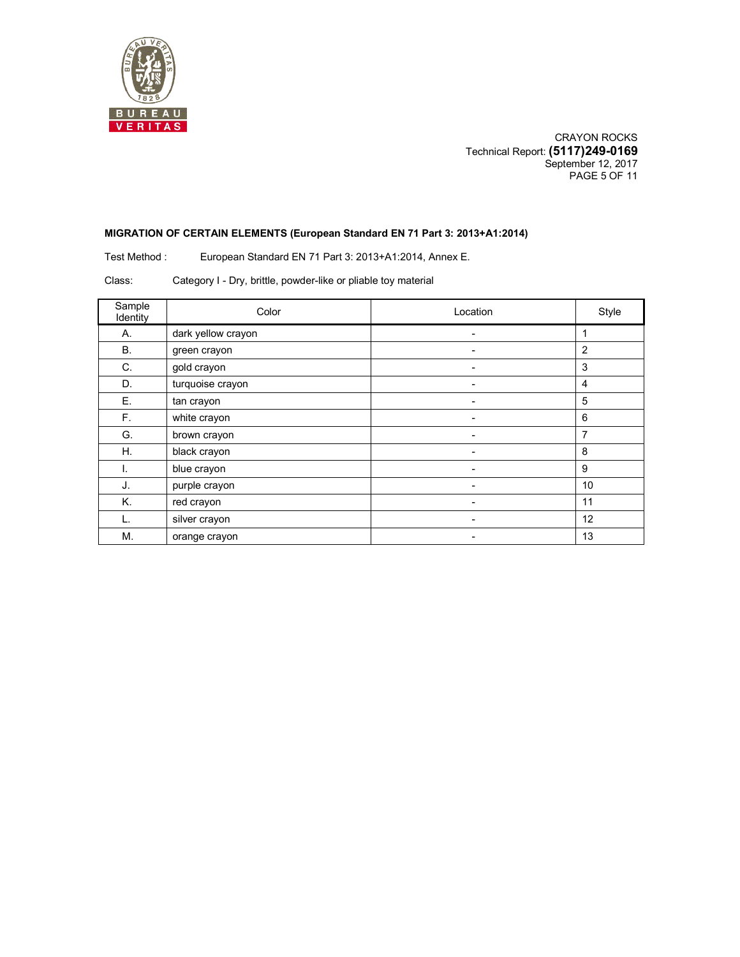

CRAYON ROCKS Technical Report: **(5117)249-0169** September 12, 2017 PAGE 5 OF 11

#### **MIGRATION OF CERTAIN ELEMENTS (European Standard EN 71 Part 3: 2013+A1:2014)**

Test Method : European Standard EN 71 Part 3: 2013+A1:2014, Annex E.

Class: Category I - Dry, brittle, powder-like or pliable toy material

| Sample<br>Identity | Color              | Location | Style          |
|--------------------|--------------------|----------|----------------|
| А.                 | dark yellow crayon |          |                |
| <b>B.</b>          | green crayon       |          | $\overline{2}$ |
| C.                 | gold crayon        |          | 3              |
| D.                 | turquoise crayon   | -        | $\overline{4}$ |
| Ε.                 | tan crayon         |          | 5              |
| F.                 | white crayon       | ۰        | 6              |
| G.                 | brown crayon       |          | $\overline{7}$ |
| Η.                 | black crayon       | -        | 8              |
| I.                 | blue crayon        | -        | 9              |
| J.                 | purple crayon      |          | 10             |
| Κ.                 | red crayon         |          | 11             |
|                    | silver crayon      | -        | 12             |
| М.                 | orange crayon      |          | 13             |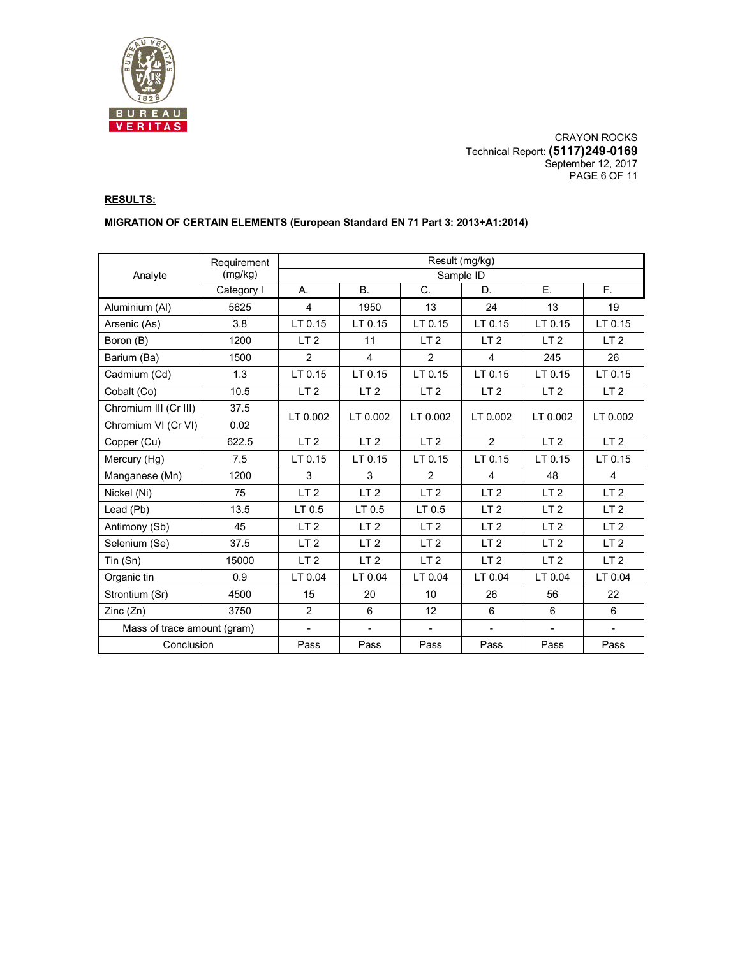

CRAYON ROCKS Technical Report: **(5117)249-0169** September 12, 2017 PAGE 6 OF 11

# **RESULTS:**

### **MIGRATION OF CERTAIN ELEMENTS (European Standard EN 71 Part 3: 2013+A1:2014)**

|                             | Requirement | Result (mg/kg)  |                    |                 |                 |                 |                 |  |  |
|-----------------------------|-------------|-----------------|--------------------|-----------------|-----------------|-----------------|-----------------|--|--|
| Analyte                     | (mg/kg)     | Sample ID       |                    |                 |                 |                 |                 |  |  |
|                             | Category I  | Α.              | <b>B.</b>          | C.              | D.              | Ε.              | $F_{\perp}$     |  |  |
| Aluminium (AI)              | 5625        | 4               | 1950               | 13              | 24              | 13              | 19              |  |  |
| Arsenic (As)                | 3.8         | LT 0.15         | $LT$ 0.15          | LT 0.15         | LT 0.15         | LT 0.15         | LT 0.15         |  |  |
| Boron (B)                   | 1200        | LT <sub>2</sub> | 11                 | LT <sub>2</sub> | LT <sub>2</sub> | LT <sub>2</sub> | LT <sub>2</sub> |  |  |
| Barium (Ba)                 | 1500        | $\overline{2}$  | $\overline{4}$     | $\overline{2}$  | $\overline{4}$  | 245             | 26              |  |  |
| Cadmium (Cd)                | 1.3         | LT 0.15         | LT <sub>0.15</sub> | LT 0.15         | LT 0.15         | LT 0.15         | LT 0.15         |  |  |
| Cobalt (Co)                 | 10.5        | LT <sub>2</sub> | LT <sub>2</sub>    | LT <sub>2</sub> | LT <sub>2</sub> | LT <sub>2</sub> | LT <sub>2</sub> |  |  |
| Chromium III (Cr III)       | 37.5        | LT 0.002        | LT 0.002           | LT 0.002        | LT 0.002        | LT 0.002        | LT 0.002        |  |  |
| Chromium VI (Cr VI)         | 0.02        |                 |                    |                 |                 |                 |                 |  |  |
| Copper (Cu)                 | 622.5       | LT <sub>2</sub> | LT <sub>2</sub>    | LT <sub>2</sub> | 2               | LT <sub>2</sub> | LT <sub>2</sub> |  |  |
| Mercury (Hg)                | 7.5         | LT 0.15         | LT <sub>0.15</sub> | LT 0.15         | $LT$ 0.15       | LT 0.15         | LT 0.15         |  |  |
| Manganese (Mn)              | 1200        | 3               | 3                  | $\overline{2}$  | $\overline{4}$  | 48              | 4               |  |  |
| Nickel (Ni)                 | 75          | LT <sub>2</sub> | LT <sub>2</sub>    | LT <sub>2</sub> | LT <sub>2</sub> | LT <sub>2</sub> | LT <sub>2</sub> |  |  |
| Lead (Pb)                   | 13.5        | LT 0.5          | LT 0.5             | LT 0.5          | LT <sub>2</sub> | LT <sub>2</sub> | LT <sub>2</sub> |  |  |
| Antimony (Sb)               | 45          | LT <sub>2</sub> | LT <sub>2</sub>    | LT <sub>2</sub> | LT <sub>2</sub> | LT <sub>2</sub> | LT <sub>2</sub> |  |  |
| Selenium (Se)               | 37.5        | LT <sub>2</sub> | LT <sub>2</sub>    | LT <sub>2</sub> | LT <sub>2</sub> | LT <sub>2</sub> | LT <sub>2</sub> |  |  |
| Tin (Sn)                    | 15000       | LT <sub>2</sub> | LT <sub>2</sub>    | LT <sub>2</sub> | LT <sub>2</sub> | LT <sub>2</sub> | LT <sub>2</sub> |  |  |
| Organic tin                 | 0.9         | LT 0.04         | LT 0.04            | LT 0.04         | LT 0.04         | LT 0.04         | LT 0.04         |  |  |
| Strontium (Sr)              | 4500        | 15              | 20                 | 10              | 26              | 56              | 22              |  |  |
| Zinc(Zn)                    | 3750        | 2               | 6                  | 12              | 6               | 6               | 6               |  |  |
| Mass of trace amount (gram) |             | ÷.              | $\blacksquare$     | $\blacksquare$  |                 |                 |                 |  |  |
| Conclusion                  |             | Pass            | Pass               | Pass            | Pass            | Pass            | Pass            |  |  |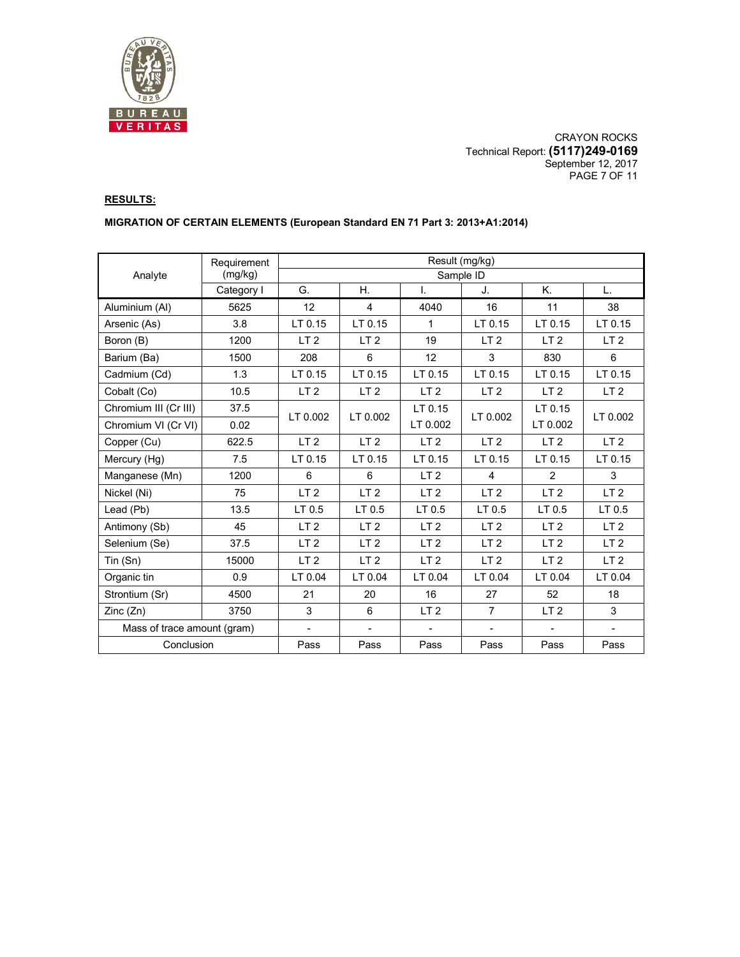

CRAYON ROCKS Technical Report: **(5117)249-0169** September 12, 2017 PAGE 7 OF 11

# **RESULTS:**

### **MIGRATION OF CERTAIN ELEMENTS (European Standard EN 71 Part 3: 2013+A1:2014)**

|                             | Requirement |                 |                    |                 | Result (mg/kg)  |                   |                 |  |  |
|-----------------------------|-------------|-----------------|--------------------|-----------------|-----------------|-------------------|-----------------|--|--|
| Analyte                     | (mg/kg)     | Sample ID       |                    |                 |                 |                   |                 |  |  |
|                             | Category I  | G.              | Η.                 | I.              | J.              | Κ.                | L.              |  |  |
| Aluminium (Al)              | 5625        | 12              | $\overline{4}$     | 4040            | 16              | 11                | 38              |  |  |
| Arsenic (As)                | 3.8         | LT 0.15         | LT 0.15            | 1               | LT 0.15         | LT 0.15           | LT 0.15         |  |  |
| Boron (B)                   | 1200        | LT <sub>2</sub> | LT <sub>2</sub>    | 19              | LT <sub>2</sub> | LT <sub>2</sub>   | LT <sub>2</sub> |  |  |
| Barium (Ba)                 | 1500        | 208             | 6                  | 12              | 3               | 830               | 6               |  |  |
| Cadmium (Cd)                | 1.3         | LT 0.15         | LT 0.15            | LT 0.15         | LT 0.15         | LT 0.15           | LT 0.15         |  |  |
| Cobalt (Co)                 | 10.5        | LT <sub>2</sub> | LT <sub>2</sub>    | LT <sub>2</sub> | LT <sub>2</sub> | LT <sub>2</sub>   | LT <sub>2</sub> |  |  |
| Chromium III (Cr III)       | 37.5        | LT 0.002        | LT 0.002           | LT 0.15         | LT 0.002        | LT 0.15           | LT 0.002        |  |  |
| Chromium VI (Cr VI)         | 0.02        |                 |                    | LT 0.002        |                 | LT 0.002          |                 |  |  |
| Copper (Cu)                 | 622.5       | LT <sub>2</sub> | LT <sub>2</sub>    | LT <sub>2</sub> | LT <sub>2</sub> | LT <sub>2</sub>   | LT <sub>2</sub> |  |  |
| Mercury (Hg)                | 7.5         | LT 0.15         | LT <sub>0.15</sub> | LT 0.15         | LT 0.15         | LT 0.15           | LT 0.15         |  |  |
| Manganese (Mn)              | 1200        | 6               | 6                  | LT <sub>2</sub> | $\overline{4}$  | 2                 | 3               |  |  |
| Nickel (Ni)                 | 75          | LT <sub>2</sub> | LT <sub>2</sub>    | LT <sub>2</sub> | LT <sub>2</sub> | LT <sub>2</sub>   | LT <sub>2</sub> |  |  |
| Lead (Pb)                   | 13.5        | LT 0.5          | LT 0.5             | LT 0.5          | LT 0.5          | LT <sub>0.5</sub> | LT 0.5          |  |  |
| Antimony (Sb)               | 45          | LT <sub>2</sub> | LT <sub>2</sub>    | LT <sub>2</sub> | LT <sub>2</sub> | LT <sub>2</sub>   | LT <sub>2</sub> |  |  |
| Selenium (Se)               | 37.5        | LT <sub>2</sub> | LT <sub>2</sub>    | LT <sub>2</sub> | LT <sub>2</sub> | LT <sub>2</sub>   | LT <sub>2</sub> |  |  |
| Tin (Sn)                    | 15000       | LT <sub>2</sub> | LT <sub>2</sub>    | LT <sub>2</sub> | LT <sub>2</sub> | LT <sub>2</sub>   | LT <sub>2</sub> |  |  |
| Organic tin                 | 0.9         | LT 0.04         | LT 0.04            | LT 0.04         | LT 0.04         | LT 0.04           | LT 0.04         |  |  |
| Strontium (Sr)              | 4500        | 21              | 20                 | 16              | 27              | 52                | 18              |  |  |
| Zinc(Zn)                    | 3750        | 3               | 6                  | LT <sub>2</sub> | $\overline{7}$  | LT <sub>2</sub>   | 3               |  |  |
| Mass of trace amount (gram) |             | $\blacksquare$  | $\blacksquare$     |                 |                 |                   |                 |  |  |
| Conclusion                  |             | Pass            | Pass               | Pass            | Pass            | Pass              | Pass            |  |  |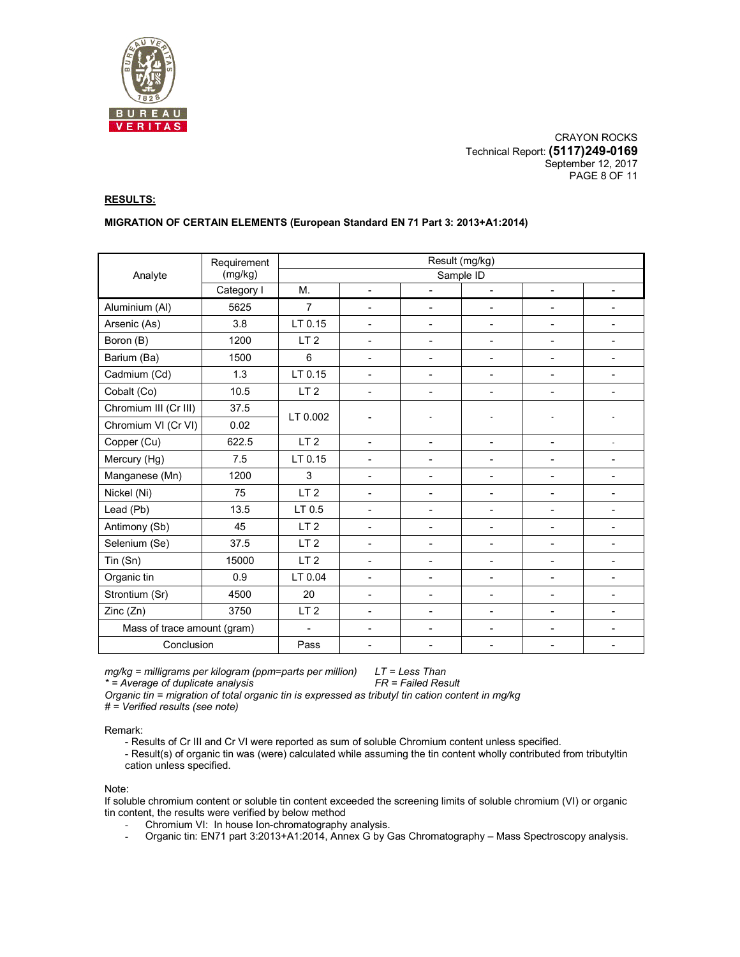

CRAYON ROCKS Technical Report: **(5117)249-0169** September 12, 2017 PAGE 8 OF 11

### **RESULTS:**

#### **MIGRATION OF CERTAIN ELEMENTS (European Standard EN 71 Part 3: 2013+A1:2014)**

|                             | Requirement | Result (mg/kg)  |                          |                          |                          |                              |                              |  |  |
|-----------------------------|-------------|-----------------|--------------------------|--------------------------|--------------------------|------------------------------|------------------------------|--|--|
| Analyte                     | (mg/kg)     | Sample ID       |                          |                          |                          |                              |                              |  |  |
|                             | Category I  | M.              | $\blacksquare$           | $\overline{\phantom{0}}$ | $\sim$                   | $\blacksquare$               | $\blacksquare$               |  |  |
| Aluminium (Al)              | 5625        | $\overline{7}$  | $\blacksquare$           | $\overline{a}$           | $\mathbf{r}$             | $\overline{\phantom{0}}$     | $\mathbf{r}$                 |  |  |
| Arsenic (As)                | 3.8         | LT 0.15         | $\overline{\phantom{0}}$ | $\overline{\phantom{a}}$ | $\overline{\phantom{a}}$ | -                            | $\overline{\phantom{a}}$     |  |  |
| Boron (B)                   | 1200        | LT <sub>2</sub> | $\overline{a}$           | ÷                        | $\blacksquare$           | -                            | $\overline{\phantom{a}}$     |  |  |
| Barium (Ba)                 | 1500        | 6               | $\blacksquare$           | $\overline{\phantom{0}}$ | $\overline{a}$           | $\overline{\phantom{0}}$     | $\blacksquare$               |  |  |
| Cadmium (Cd)                | 1.3         | LT 0.15         | $\overline{\phantom{0}}$ | ÷                        | $\mathbf{r}$             | $\overline{\phantom{0}}$     | $\blacksquare$               |  |  |
| Cobalt (Co)                 | 10.5        | LT <sub>2</sub> | $\overline{\phantom{m}}$ | $\blacksquare$           | $\overline{\phantom{a}}$ | -                            | $\overline{\phantom{a}}$     |  |  |
| Chromium III (Cr III)       | 37.5        | LT 0.002        |                          |                          |                          |                              |                              |  |  |
| Chromium VI (Cr VI)         | 0.02        |                 |                          |                          |                          |                              |                              |  |  |
| Copper (Cu)                 | 622.5       | LT <sub>2</sub> | $\overline{a}$           | $\blacksquare$           | $\blacksquare$           | $\overline{a}$               | $\overline{\phantom{a}}$     |  |  |
| Mercury (Hg)                | 7.5         | LT 0.15         | $\overline{a}$           | $\blacksquare$           | $\mathbf{r}$             | $\overline{a}$               | $\blacksquare$               |  |  |
| Manganese (Mn)              | 1200        | 3               | $\overline{\phantom{0}}$ | $\overline{\phantom{0}}$ | $\blacksquare$           | L,                           | $\blacksquare$               |  |  |
| Nickel (Ni)                 | 75          | LT <sub>2</sub> | $\overline{\phantom{0}}$ | ٠                        | $\blacksquare$           | $\overline{\phantom{0}}$     |                              |  |  |
| Lead (Pb)                   | 13.5        | LT 0.5          | $\overline{\phantom{m}}$ | ۰                        | $\overline{\phantom{a}}$ | $\qquad \qquad \blacksquare$ | $\overline{\phantom{a}}$     |  |  |
| Antimony (Sb)               | 45          | LT <sub>2</sub> | $\overline{\phantom{0}}$ | $\blacksquare$           | $\overline{\phantom{a}}$ | $\qquad \qquad \blacksquare$ | $\overline{\phantom{a}}$     |  |  |
| Selenium (Se)               | 37.5        | LT <sub>2</sub> | $\blacksquare$           | $\blacksquare$           | $\blacksquare$           | $\overline{\phantom{0}}$     | $\blacksquare$               |  |  |
| Tin (Sn)                    | 15000       | LT <sub>2</sub> | $\overline{\phantom{0}}$ | $\blacksquare$           | $\overline{\phantom{a}}$ | $\qquad \qquad \blacksquare$ | $\overline{\phantom{a}}$     |  |  |
| Organic tin                 | 0.9         | LT 0.04         | $\overline{\phantom{0}}$ | $\blacksquare$           | $\blacksquare$           | $\overline{a}$               | $\blacksquare$               |  |  |
| Strontium (Sr)              | 4500        | 20              | $\overline{\phantom{0}}$ | $\blacksquare$           | $\blacksquare$           | $\overline{a}$               | $\blacksquare$               |  |  |
| Zinc (Zn)                   | 3750        | LT <sub>2</sub> | $\overline{\phantom{0}}$ | ۰                        | $\overline{\phantom{a}}$ | $\blacksquare$               |                              |  |  |
| Mass of trace amount (gram) |             | $\blacksquare$  | $\overline{\phantom{0}}$ | ۰                        |                          | $\overline{a}$               | $\qquad \qquad \blacksquare$ |  |  |
| Conclusion                  |             | Pass            | $\blacksquare$           |                          |                          |                              |                              |  |  |

*mg/kg = milligrams per kilogram (ppm=parts per million) LT = Less Than \** = Average of duplicate analysis

*Organic tin = migration of total organic tin is expressed as tributyl tin cation content in mg/kg* 

*# = Verified results (see note)* 

Remark:

- Results of Cr III and Cr VI were reported as sum of soluble Chromium content unless specified.

- Result(s) of organic tin was (were) calculated while assuming the tin content wholly contributed from tributyltin cation unless specified.

Note:

If soluble chromium content or soluble tin content exceeded the screening limits of soluble chromium (VI) or organic tin content, the results were verified by below method

- Chromium VI: In house Ion-chromatography analysis.<br>- Organic tin: FN71 part 3:2013+A1:2014 Annex G by G
- Organic tin: EN71 part 3:2013+A1:2014, Annex G by Gas Chromatography Mass Spectroscopy analysis.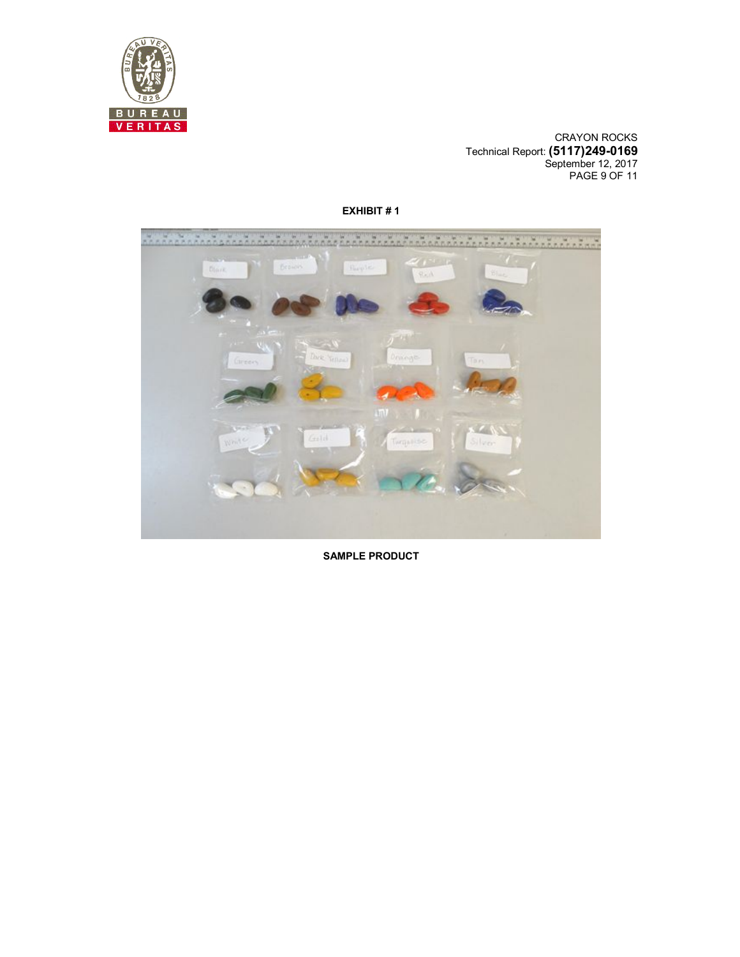

CRAYON ROCKS Technical Report: **(5117)249-0169** September 12, 2017 PAGE 9 OF 11



**EXHIBIT # 1** 

**SAMPLE PRODUCT**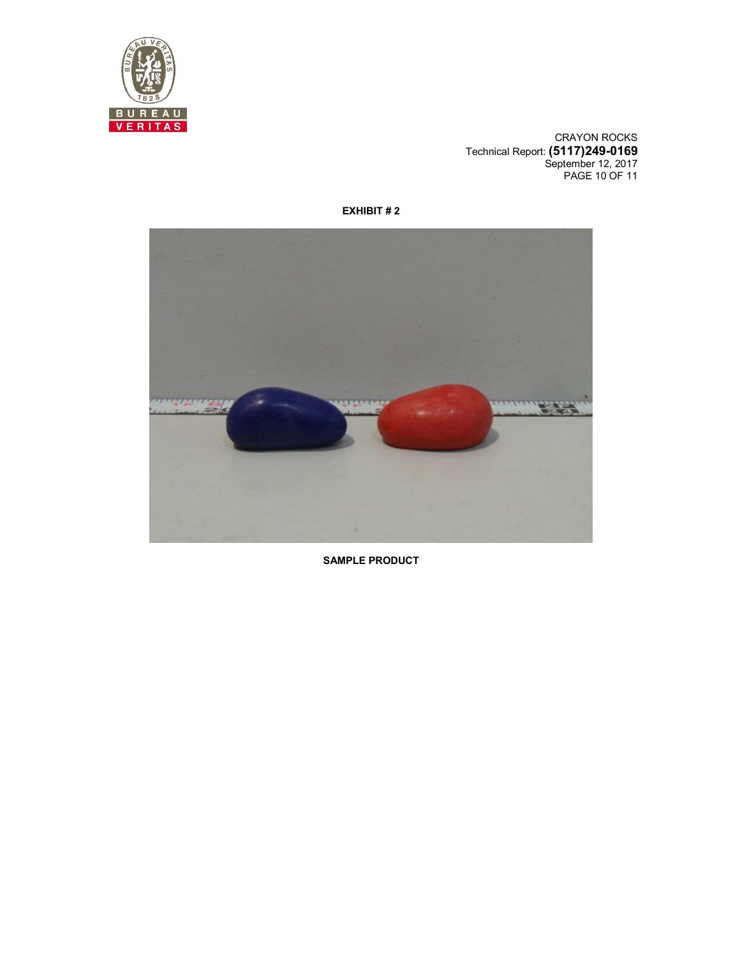

CRAYON ROCKS Technical Report: **(5117)249-0169** September 12, 2017 PAGE 10 OF 11



**EXHIBIT # 2** 

**SAMPLE PRODUCT**